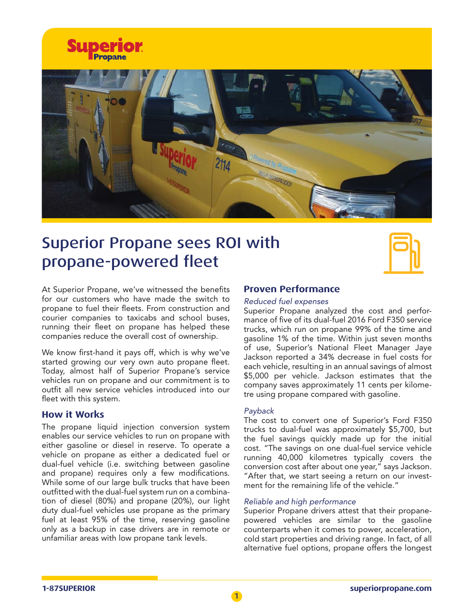



# Superior Propane sees ROI with propane-powered fleet



At Superior Propane, we've witnessed the benefits for our customers who have made the switch to propane to fuel their fleets. From construction and courier companies to taxicabs and school buses, running their fleet on propane has helped these companies reduce the overall cost of ownership.

We know first-hand it pays off, which is why we've started growing our very own auto propane fleet. Today, almost half of Superior Propane's service vehicles run on propane and our commitment is to outfit all new service vehicles introduced into our fleet with this system.

## **How it Works**

The propane liquid injection conversion system enables our service vehicles to run on propane with either gasoline or diesel in reserve. To operate a vehicle on propane as either a dedicated fuel or dual-fuel vehicle (i.e. switching between gasoline and propane) requires only a few modifications. While some of our large bulk trucks that have been outfitted with the dual-fuel system run on a combination of diesel (80%) and propane (20%), our light duty dual-fuel vehicles use propane as the primary fuel at least 95% of the time, reserving gasoline only as a backup in case drivers are in remote or unfamiliar areas with low propane tank levels.

# **Proven Performance**

#### *Reduced fuel expenses*

Superior Propane analyzed the cost and performance of five of its dual-fuel 2016 Ford F350 service trucks, which run on propane 99% of the time and gasoline 1% of the time. Within just seven months of use, Superior's National Fleet Manager Jaye Jackson reported a 34% decrease in fuel costs for each vehicle, resulting in an annual savings of almost \$5,000 per vehicle. Jackson estimates that the company saves approximately 11 cents per kilometre using propane compared with gasoline.

### *Payback*

The cost to convert one of Superior's Ford F350 trucks to dual-fuel was approximately \$5,700, but the fuel savings quickly made up for the initial cost. "The savings on one dual-fuel service vehicle running 40,000 kilometres typically covers the conversion cost after about one year," says Jackson. "After that, we start seeing a return on our investment for the remaining life of the vehicle."

#### *Reliable and high performance*

Superior Propane drivers attest that their propanepowered vehicles are similar to the gasoline counterparts when it comes to power, acceleration, cold start properties and driving range. In fact, of all alternative fuel options, propane offers the longest